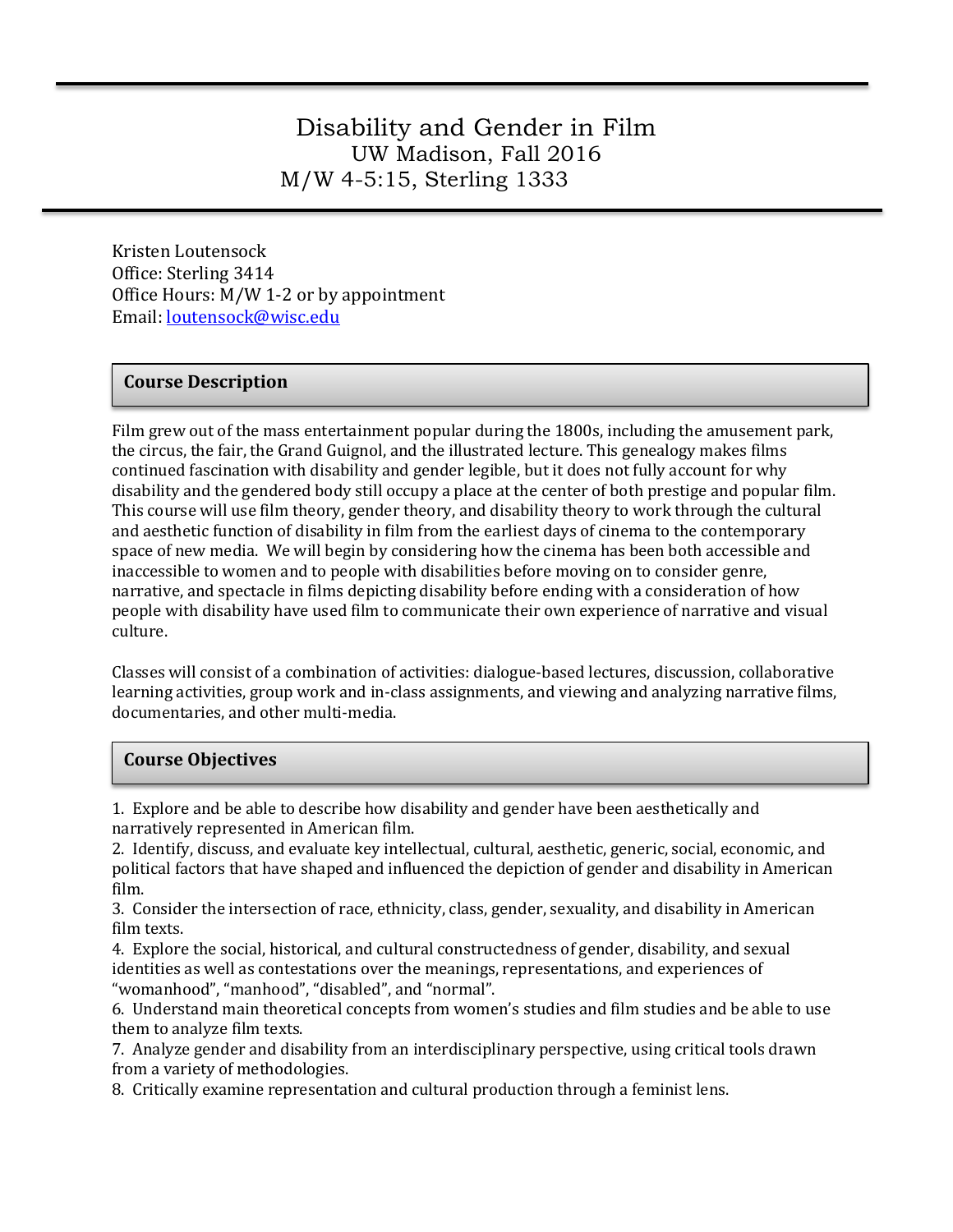## Disability and Gender in Film UW Madison, Fall 2016 M/W 4-5:15, Sterling 1333

Kristen Loutensock Office: Sterling 3414 Office Hours: M/W 1-2 or by appointment Email: [loutensock@wisc.edu](mailto:loutensock@wisc.edu)

#### **Course Description**

Film grew out of the mass entertainment popular during the 1800s, including the amusement park, the circus, the fair, the Grand Guignol, and the illustrated lecture. This genealogy makes films continued fascination with disability and gender legible, but it does not fully account for why disability and the gendered body still occupy a place at the center of both prestige and popular film. This course will use film theory, gender theory, and disability theory to work through the cultural and aesthetic function of disability in film from the earliest days of cinema to the contemporary space of new media. We will begin by considering how the cinema has been both accessible and inaccessible to women and to people with disabilities before moving on to consider genre, narrative, and spectacle in films depicting disability before ending with a consideration of how people with disability have used film to communicate their own experience of narrative and visual culture.

Classes will consist of a combination of activities: dialogue-based lectures, discussion, collaborative learning activities, group work and in-class assignments, and viewing and analyzing narrative films, documentaries, and other multi-media.

#### **Course Objectives**

1. Explore and be able to describe how disability and gender have been aesthetically and narratively represented in American film.

2. Identify, discuss, and evaluate key intellectual, cultural, aesthetic, generic, social, economic, and political factors that have shaped and influenced the depiction of gender and disability in American film.

3. Consider the intersection of race, ethnicity, class, gender, sexuality, and disability in American film texts.

4. Explore the social, historical, and cultural constructedness of gender, disability, and sexual identities as well as contestations over the meanings, representations, and experiences of "womanhood", "manhood", "disabled", and "normal".

6. Understand main theoretical concepts from women's studies and film studies and be able to use them to analyze film texts.

7. Analyze gender and disability from an interdisciplinary perspective, using critical tools drawn from a variety of methodologies.

8. Critically examine representation and cultural production through a feminist lens.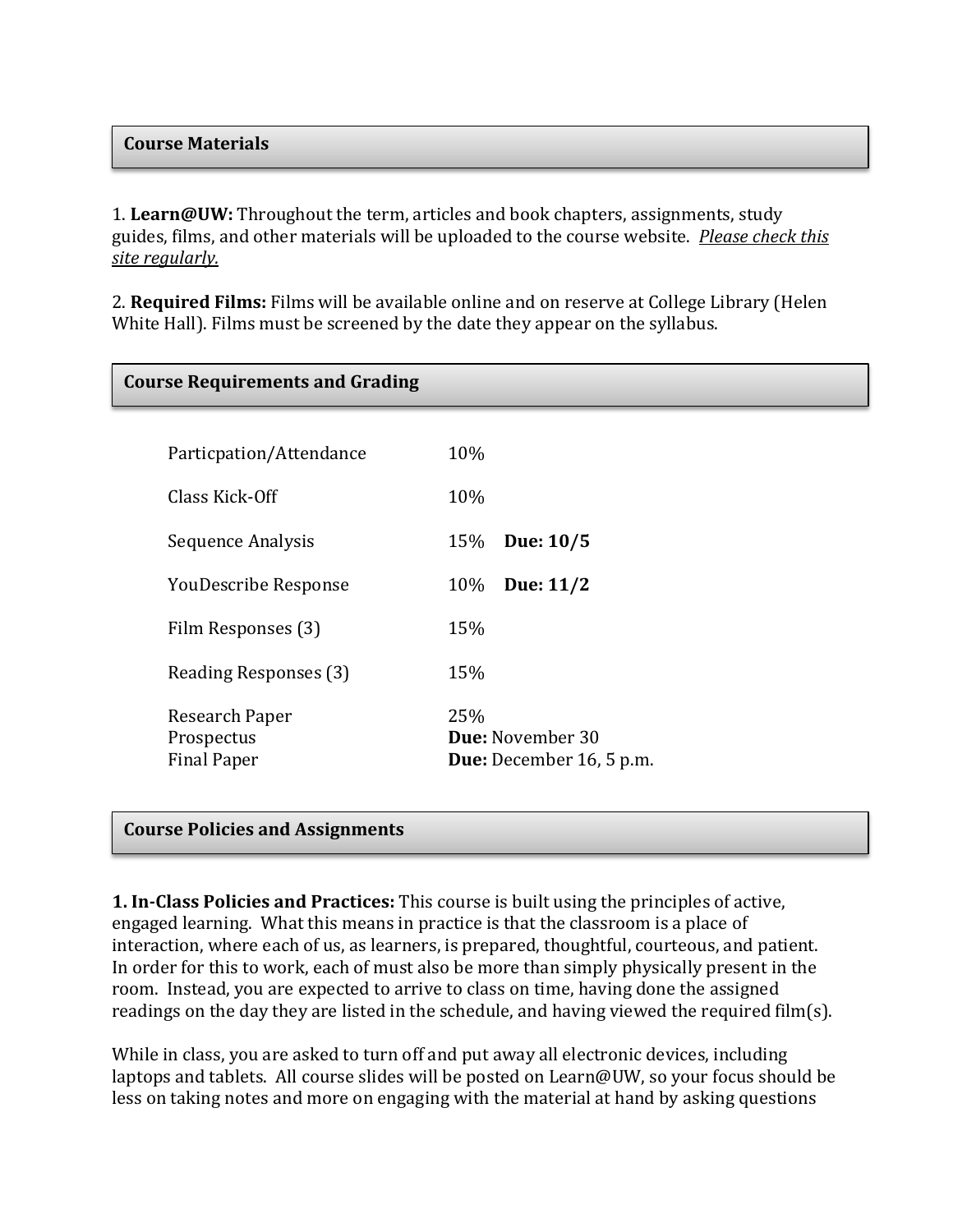#### **Course Materials**

1. **Learn@UW:** Throughout the term, articles and book chapters, assignments, study guides, films, and other materials will be uploaded to the course website. *Please check this site regularly.*

2. **Required Films:** Films will be available online and on reserve at College Library (Helen White Hall). Films must be screened by the date they appear on the syllabus.

| <b>Course Requirements and Grading</b> |                                 |
|----------------------------------------|---------------------------------|
| Particpation/Attendance                | 10%                             |
| Class Kick-Off                         | 10%                             |
|                                        |                                 |
| Sequence Analysis                      | Due: 10/5<br>15%                |
| <b>YouDescribe Response</b>            | Due: 11/2<br>10%                |
| Film Responses (3)                     | 15%                             |
| Reading Responses (3)                  | 15%                             |
| Research Paper<br>Prospectus           | 25%<br><b>Due: November 30</b>  |
| <b>Final Paper</b>                     | <b>Due:</b> December 16, 5 p.m. |

#### **Course Policies and Assignments**

**1. In-Class Policies and Practices:** This course is built using the principles of active, engaged learning. What this means in practice is that the classroom is a place of interaction, where each of us, as learners, is prepared, thoughtful, courteous, and patient. In order for this to work, each of must also be more than simply physically present in the room. Instead, you are expected to arrive to class on time, having done the assigned readings on the day they are listed in the schedule, and having viewed the required film(s).

While in class, you are asked to turn off and put away all electronic devices, including laptops and tablets. All course slides will be posted on Learn@UW, so your focus should be less on taking notes and more on engaging with the material at hand by asking questions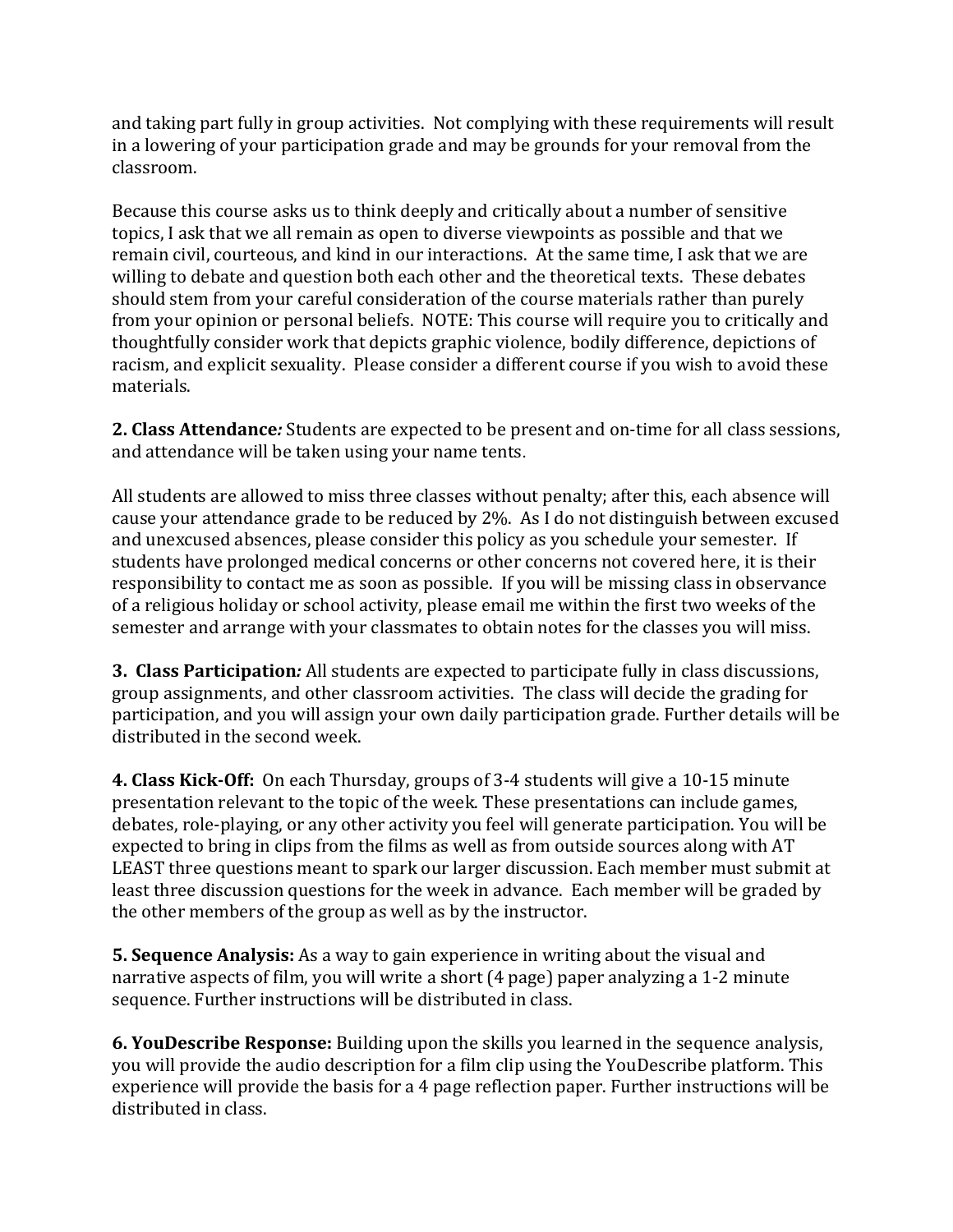and taking part fully in group activities. Not complying with these requirements will result in a lowering of your participation grade and may be grounds for your removal from the classroom.

Because this course asks us to think deeply and critically about a number of sensitive topics, I ask that we all remain as open to diverse viewpoints as possible and that we remain civil, courteous, and kind in our interactions. At the same time, I ask that we are willing to debate and question both each other and the theoretical texts. These debates should stem from your careful consideration of the course materials rather than purely from your opinion or personal beliefs. NOTE: This course will require you to critically and thoughtfully consider work that depicts graphic violence, bodily difference, depictions of racism, and explicit sexuality. Please consider a different course if you wish to avoid these materials.

**2. Class Attendance***:* Students are expected to be present and on-time for all class sessions, and attendance will be taken using your name tents.

All students are allowed to miss three classes without penalty; after this, each absence will cause your attendance grade to be reduced by 2%. As I do not distinguish between excused and unexcused absences, please consider this policy as you schedule your semester. If students have prolonged medical concerns or other concerns not covered here, it is their responsibility to contact me as soon as possible. If you will be missing class in observance of a religious holiday or school activity, please email me within the first two weeks of the semester and arrange with your classmates to obtain notes for the classes you will miss.

**3. Class Participation***:* All students are expected to participate fully in class discussions, group assignments, and other classroom activities. The class will decide the grading for participation, and you will assign your own daily participation grade. Further details will be distributed in the second week.

**4. Class Kick-Off:** On each Thursday, groups of 3-4 students will give a 10-15 minute presentation relevant to the topic of the week. These presentations can include games, debates, role-playing, or any other activity you feel will generate participation. You will be expected to bring in clips from the films as well as from outside sources along with AT LEAST three questions meant to spark our larger discussion. Each member must submit at least three discussion questions for the week in advance. Each member will be graded by the other members of the group as well as by the instructor.

**5. Sequence Analysis:** As a way to gain experience in writing about the visual and narrative aspects of film, you will write a short (4 page) paper analyzing a 1-2 minute sequence. Further instructions will be distributed in class.

**6. YouDescribe Response:** Building upon the skills you learned in the sequence analysis, you will provide the audio description for a film clip using the YouDescribe platform. This experience will provide the basis for a 4 page reflection paper. Further instructions will be distributed in class.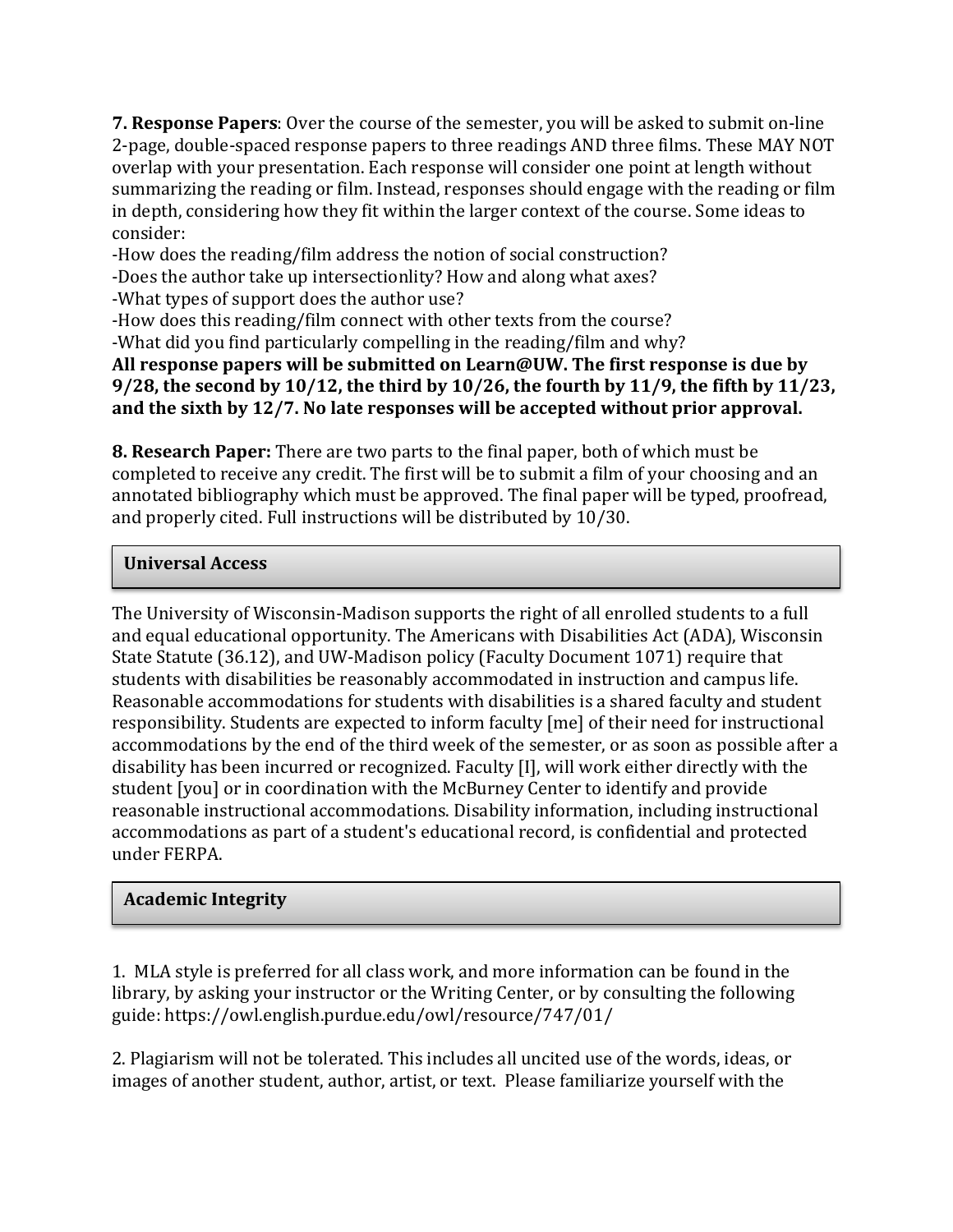**7. Response Papers**: Over the course of the semester, you will be asked to submit on-line 2-page, double-spaced response papers to three readings AND three films. These MAY NOT overlap with your presentation. Each response will consider one point at length without summarizing the reading or film. Instead, responses should engage with the reading or film in depth, considering how they fit within the larger context of the course. Some ideas to consider:

-How does the reading/film address the notion of social construction?

-Does the author take up intersectionlity? How and along what axes?

-What types of support does the author use?

-How does this reading/film connect with other texts from the course?

-What did you find particularly compelling in the reading/film and why?

**All response papers will be submitted on Learn@UW. The first response is due by 9/28, the second by 10/12, the third by 10/26, the fourth by 11/9, the fifth by 11/23, and the sixth by 12/7. No late responses will be accepted without prior approval.**

**8. Research Paper:** There are two parts to the final paper, both of which must be completed to receive any credit. The first will be to submit a film of your choosing and an annotated bibliography which must be approved. The final paper will be typed, proofread, and properly cited. Full instructions will be distributed by 10/30.

## **Universal Access**

The University of Wisconsin-Madison supports the right of all enrolled students to a full and equal educational opportunity. The Americans with Disabilities Act (ADA), Wisconsin State Statute (36.12), and UW-Madison policy (Faculty Document 1071) require that students with disabilities be reasonably accommodated in instruction and campus life. Reasonable accommodations for students with disabilities is a shared faculty and student responsibility. Students are expected to inform faculty [me] of their need for instructional accommodations by the end of the third week of the semester, or as soon as possible after a disability has been incurred or recognized. Faculty [I], will work either directly with the student [you] or in coordination with the McBurney Center to identify and provide reasonable instructional accommodations. Disability information, including instructional accommodations as part of a student's educational record, is confidential and protected under FERPA.

#### **Academic Integrity**

1. MLA style is preferred for all class work, and more information can be found in the library, by asking your instructor or the Writing Center, or by consulting the following guide: https://owl.english.purdue.edu/owl/resource/747/01/

2. Plagiarism will not be tolerated. This includes all uncited use of the words, ideas, or images of another student, author, artist, or text. Please familiarize yourself with the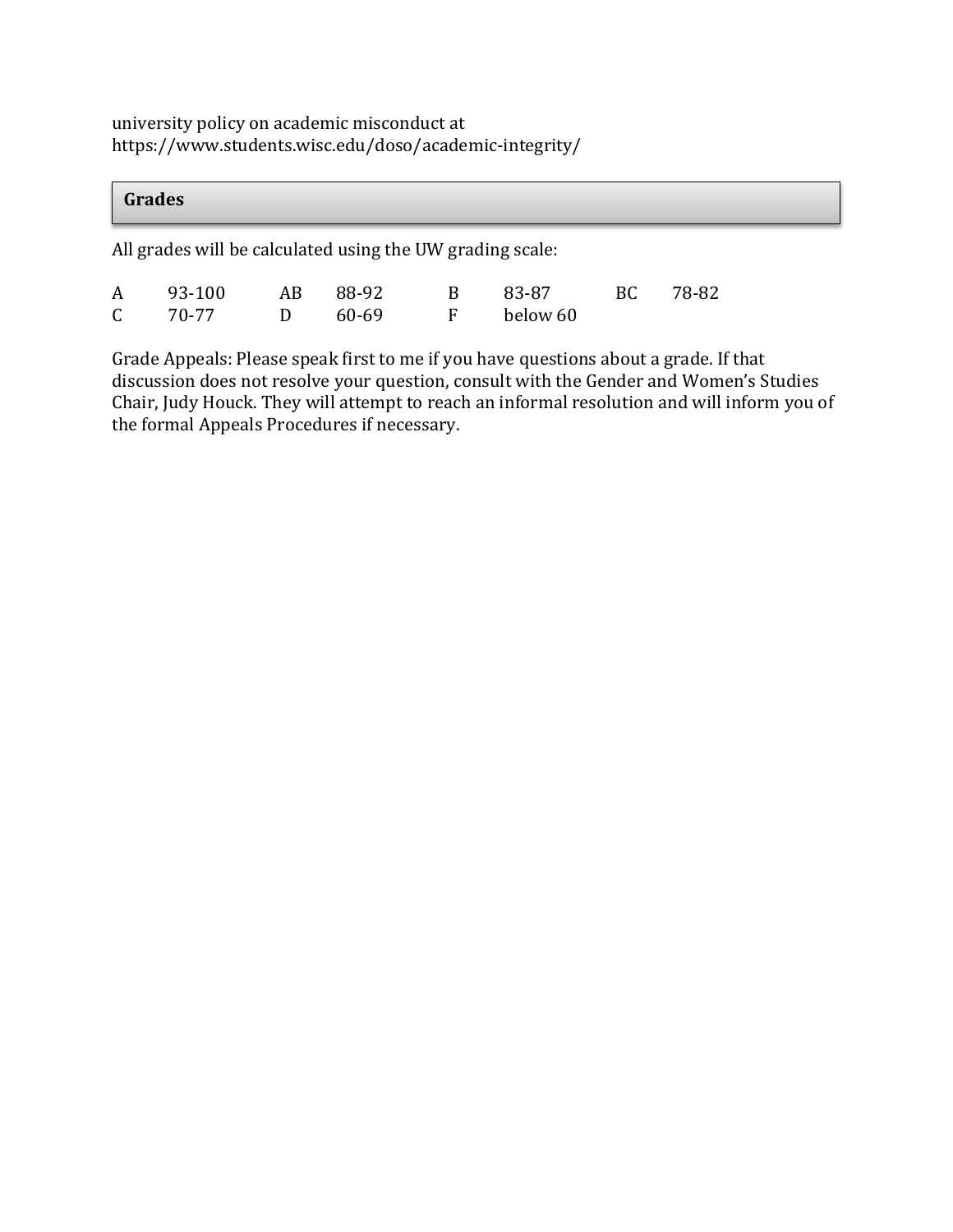university policy on academic misconduct at https://www.students.wisc.edu/doso/academic-integrity/

| Grades                                                    |        |    |       |   |          |    |       |  |  |  |
|-----------------------------------------------------------|--------|----|-------|---|----------|----|-------|--|--|--|
| All grades will be calculated using the UW grading scale: |        |    |       |   |          |    |       |  |  |  |
| A                                                         | 93-100 | AB | 88-92 | B | 83-87    | BC | 78-82 |  |  |  |
| $\mathsf{C}$                                              | 70-77  | D  | 60-69 | F | below 60 |    |       |  |  |  |

Grade Appeals: Please speak first to me if you have questions about a grade. If that discussion does not resolve your question, consult with the Gender and Women's Studies Chair, Judy Houck. They will attempt to reach an informal resolution and will inform you of the formal Appeals Procedures if necessary.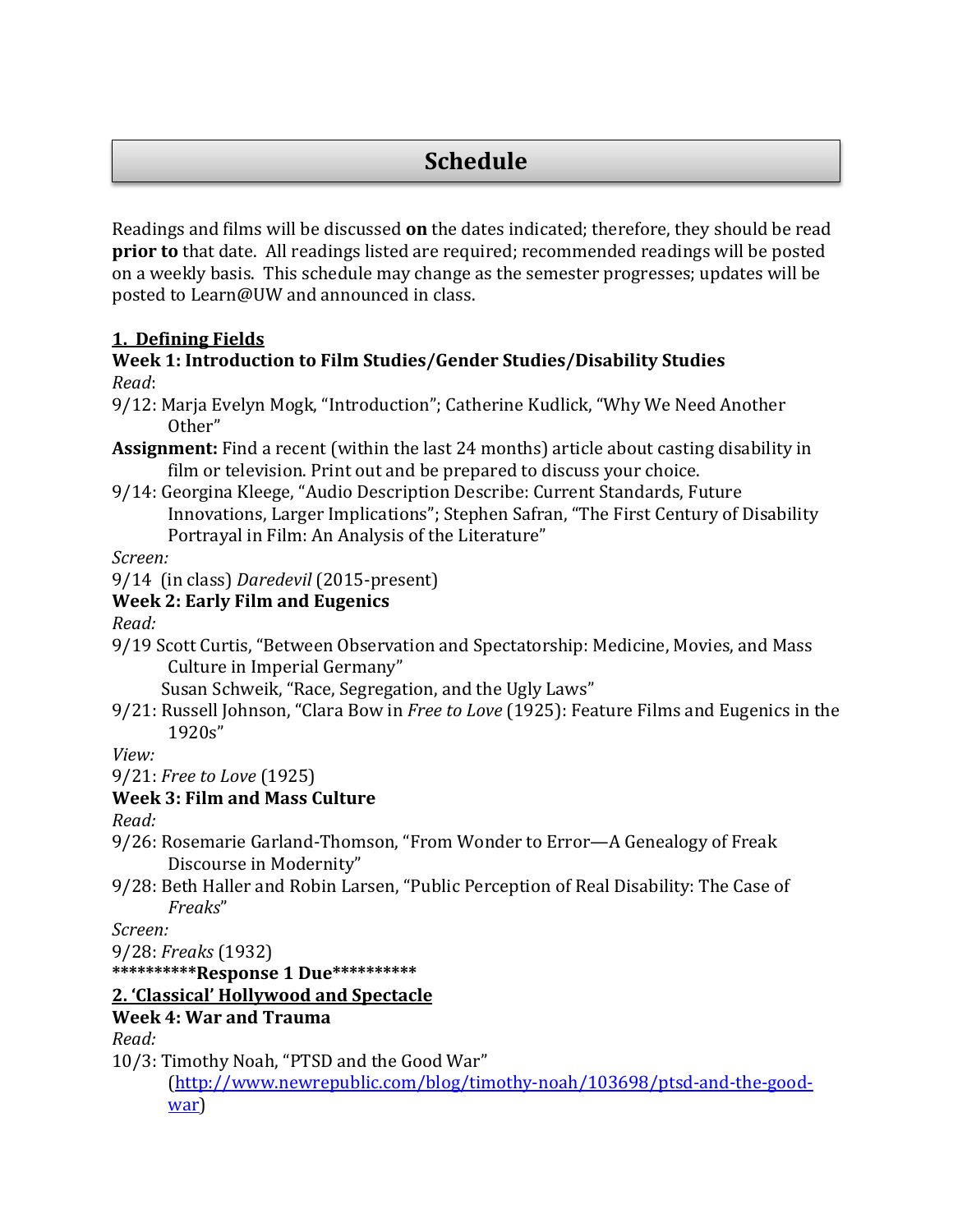# **Schedule**

Readings and films will be discussed **on** the dates indicated; therefore, they should be read **prior to** that date. All readings listed are required; recommended readings will be posted on a weekly basis. This schedule may change as the semester progresses; updates will be posted to Learn@UW and announced in class.

## **1. Defining Fields**

#### **Week 1: Introduction to Film Studies/Gender Studies/Disability Studies** *Read*:

- 9/12: Marja Evelyn Mogk, "Introduction"; Catherine Kudlick, "Why We Need Another Other"
- **Assignment:** Find a recent (within the last 24 months) article about casting disability in film or television. Print out and be prepared to discuss your choice.
- 9/14: Georgina Kleege, "Audio Description Describe: Current Standards, Future Innovations, Larger Implications"; Stephen Safran, "The First Century of Disability Portrayal in Film: An Analysis of the Literature"

*Screen:* 

9/14 (in class) *Daredevil* (2015-present)

## **Week 2: Early Film and Eugenics**

*Read:*

9/19 Scott Curtis, "Between Observation and Spectatorship: Medicine, Movies, and Mass Culture in Imperial Germany"

Susan Schweik, "Race, Segregation, and the Ugly Laws"

9/21: Russell Johnson, "Clara Bow in *Free to Love* (1925): Feature Films and Eugenics in the 1920s"

*View:*

9/21: *Free to Love* (1925)

## **Week 3: Film and Mass Culture**

*Read:* 

- 9/26: Rosemarie Garland-Thomson, "From Wonder to Error—A Genealogy of Freak Discourse in Modernity"
- 9/28: Beth Haller and Robin Larsen, "Public Perception of Real Disability: The Case of *Freaks*"

*Screen:* 

9/28: *Freaks* (1932)

**\*\*\*\*\*\*\*\*\*\*Response 1 Due\*\*\*\*\*\*\*\*\*\***

## **2. 'Classical' Hollywood and Spectacle**

## **Week 4: War and Trauma**

*Read:* 

10/3: Timothy Noah, "PTSD and the Good War"

[\(http://www.newrepublic.com/blog/timothy-noah/103698/ptsd-and-the-good](http://www.newrepublic.com/blog/timothy-noah/103698/ptsd-and-the-good-war)[war\)](http://www.newrepublic.com/blog/timothy-noah/103698/ptsd-and-the-good-war)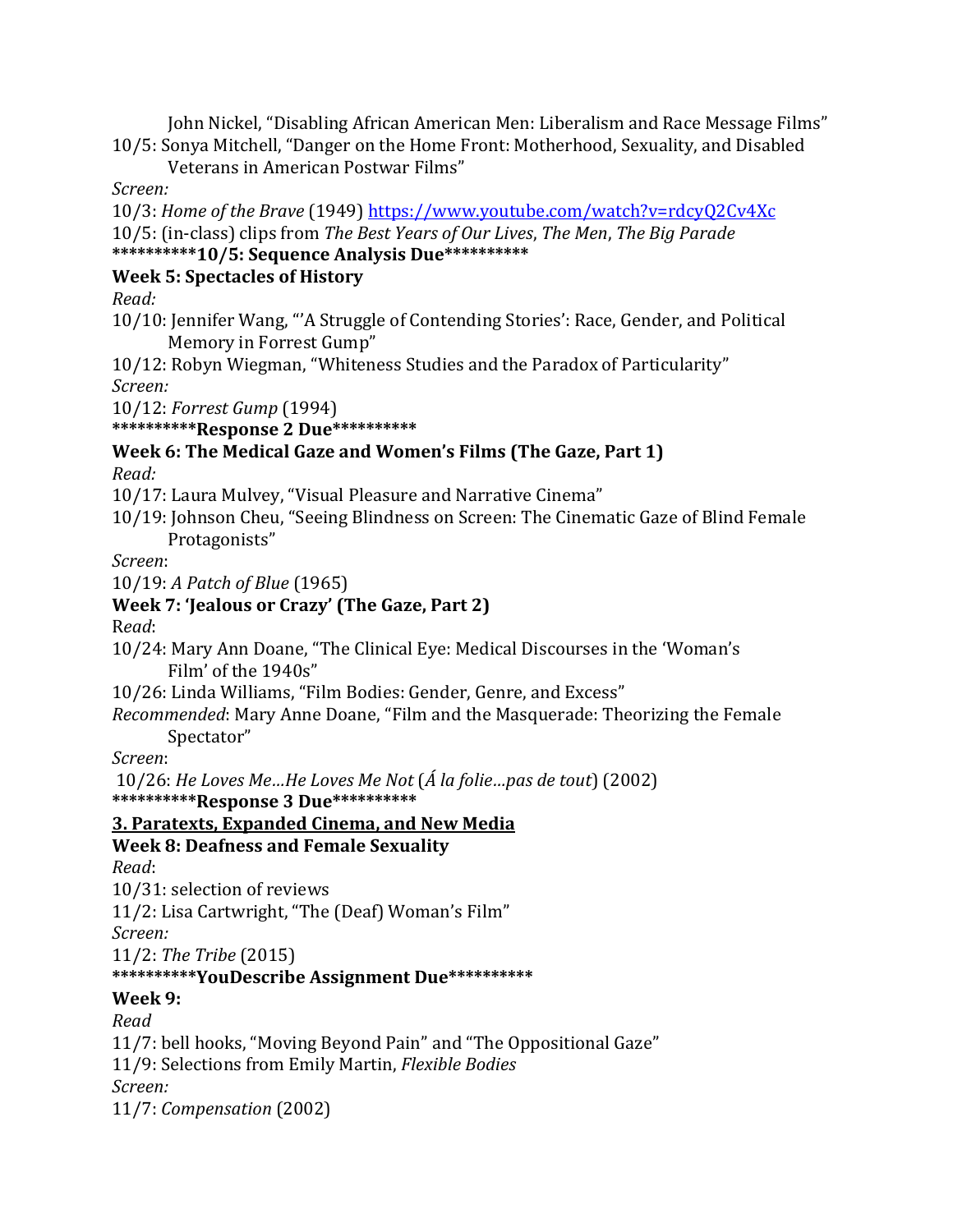John Nickel, "Disabling African American Men: Liberalism and Race Message Films" 10/5: Sonya Mitchell, "Danger on the Home Front: Motherhood, Sexuality, and Disabled

Veterans in American Postwar Films"

*Screen:*

10/3: *Home of the Brave* (1949[\) https://www.youtube.com/watch?v=rdcyQ2Cv4Xc](https://www.youtube.com/watch?v=rdcyQ2Cv4Xc) 10/5: (in-class) clips from *The Best Years of Our Lives*, *The Men*, *The Big Parade* **\*\*\*\*\*\*\*\*\*\*10/5: Sequence Analysis Due\*\*\*\*\*\*\*\*\*\***

## **Week 5: Spectacles of History**

*Read:*

10/10: Jennifer Wang, "'A Struggle of Contending Stories': Race, Gender, and Political Memory in Forrest Gump"

10/12: Robyn Wiegman, "Whiteness Studies and the Paradox of Particularity" *Screen:* 

10/12: *Forrest Gump* (1994)

**\*\*\*\*\*\*\*\*\*\*Response 2 Due\*\*\*\*\*\*\*\*\*\***

#### **Week 6: The Medical Gaze and Women's Films (The Gaze, Part 1)** *Read:*

10/17: Laura Mulvey, "Visual Pleasure and Narrative Cinema"

10/19: Johnson Cheu, "Seeing Blindness on Screen: The Cinematic Gaze of Blind Female Protagonists"

*Screen*:

10/19: *A Patch of Blue* (1965)

## **Week 7: 'Jealous or Crazy' (The Gaze, Part 2)**

R*ead*:

10/24: Mary Ann Doane, "The Clinical Eye: Medical Discourses in the 'Woman's Film' of the 1940s"

10/26: Linda Williams, "Film Bodies: Gender, Genre, and Excess"

*Recommended*: Mary Anne Doane, "Film and the Masquerade: Theorizing the Female Spectator"

*Screen*:

10/26: *He Loves Me…He Loves Me Not* (*Á la folie…pas de tout*) (2002)

**\*\*\*\*\*\*\*\*\*\*Response 3 Due\*\*\*\*\*\*\*\*\*\***

## **3. Paratexts, Expanded Cinema, and New Media**

## **Week 8: Deafness and Female Sexuality**

*Read*:

10/31: selection of reviews

11/2: Lisa Cartwright, "The (Deaf) Woman's Film"

*Screen:*

11/2: *The Tribe* (2015)

## **\*\*\*\*\*\*\*\*\*\*YouDescribe Assignment Due\*\*\*\*\*\*\*\*\*\***

**Week 9:** 

*Read*

11/7: bell hooks, "Moving Beyond Pain" and "The Oppositional Gaze" 11/9: Selections from Emily Martin, *Flexible Bodies Screen:* 11/7: *Compensation* (2002)